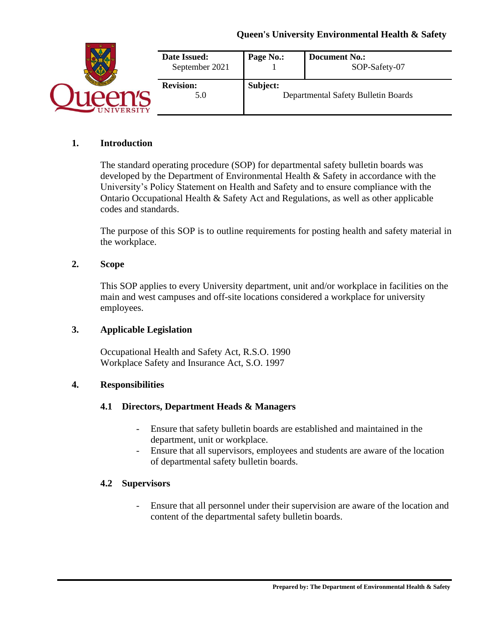

## **1. Introduction**

The standard operating procedure (SOP) for departmental safety bulletin boards was developed by the Department of Environmental Health & Safety in accordance with the University's Policy Statement on Health and Safety and to ensure compliance with the Ontario Occupational Health & Safety Act and Regulations, as well as other applicable codes and standards.

The purpose of this SOP is to outline requirements for posting health and safety material in the workplace.

#### **2. Scope**

This SOP applies to every University department, unit and/or workplace in facilities on the main and west campuses and off-site locations considered a workplace for university employees.

### **3. Applicable Legislation**

Occupational Health and Safety Act, R.S.O. 1990 Workplace Safety and Insurance Act, S.O. 1997

#### **4. Responsibilities**

### **4.1 Directors, Department Heads & Managers**

- Ensure that safety bulletin boards are established and maintained in the department, unit or workplace.
- Ensure that all supervisors, employees and students are aware of the location of departmental safety bulletin boards.

#### **4.2 Supervisors**

- Ensure that all personnel under their supervision are aware of the location and content of the departmental safety bulletin boards.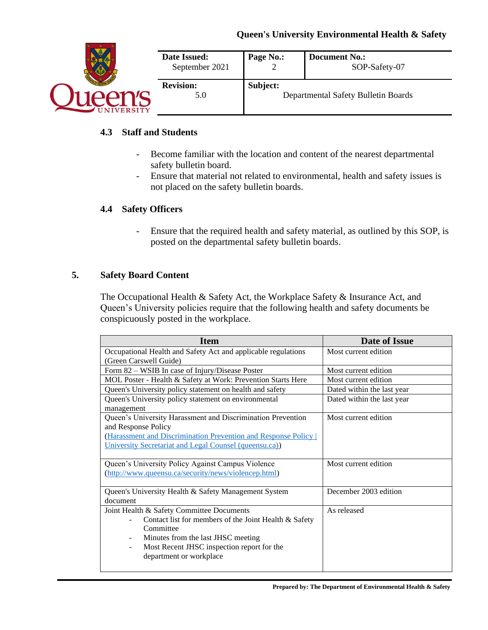

# **4.3 Staff and Students**

- Become familiar with the location and content of the nearest departmental safety bulletin board.
- Ensure that material not related to environmental, health and safety issues is not placed on the safety bulletin boards.

# **4.4 Safety Officers**

- Ensure that the required health and safety material, as outlined by this SOP, is posted on the departmental safety bulletin boards.

### **5. Safety Board Content**

The Occupational Health & Safety Act, the Workplace Safety & Insurance Act, and Queen's University policies require that the following health and safety documents be conspicuously posted in the workplace.

| <b>Item</b>                                                            | Date of Issue              |
|------------------------------------------------------------------------|----------------------------|
| Occupational Health and Safety Act and applicable regulations          | Most current edition       |
| (Green Carswell Guide)                                                 |                            |
| Form 82 - WSIB In case of Injury/Disease Poster                        | Most current edition       |
| MOL Poster - Health & Safety at Work: Prevention Starts Here           | Most current edition       |
| Queen's University policy statement on health and safety               | Dated within the last year |
| Queen's University policy statement on environmental                   | Dated within the last year |
| management                                                             |                            |
| Queen's University Harassment and Discrimination Prevention            | Most current edition       |
| and Response Policy                                                    |                            |
| (Harassment and Discrimination Prevention and Response Policy          |                            |
| University Secretariat and Legal Counsel (queensu.ca))                 |                            |
|                                                                        |                            |
| Queen's University Policy Against Campus Violence                      | Most current edition       |
| (http://www.queensu.ca/security/news/violencep.html)                   |                            |
|                                                                        |                            |
| Queen's University Health & Safety Management System                   | December 2003 edition      |
| document                                                               |                            |
| Joint Health & Safety Committee Documents                              | As released                |
| Contact list for members of the Joint Health & Safety                  |                            |
| Committee                                                              |                            |
| Minutes from the last JHSC meeting<br>$\overline{\phantom{a}}$         |                            |
| Most Recent JHSC inspection report for the<br>$\overline{\phantom{a}}$ |                            |
| department or workplace                                                |                            |
|                                                                        |                            |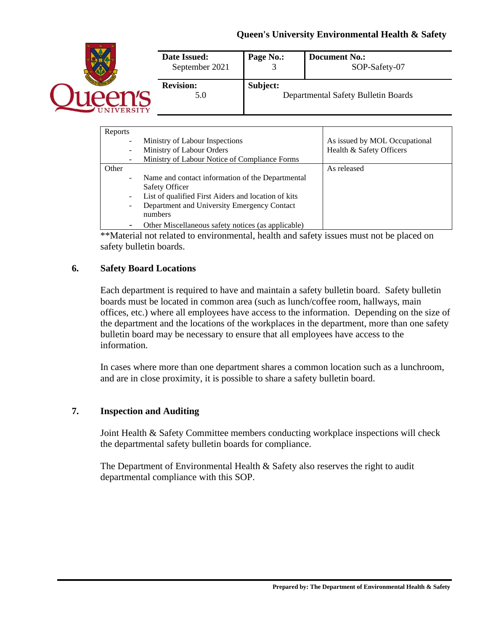

| Reports                  |                                                     |                               |
|--------------------------|-----------------------------------------------------|-------------------------------|
|                          | Ministry of Labour Inspections                      | As issued by MOL Occupational |
| $\overline{\phantom{0}}$ | Ministry of Labour Orders                           | Health & Safety Officers      |
|                          | Ministry of Labour Notice of Compliance Forms       |                               |
| Other                    |                                                     | As released                   |
| $\overline{\phantom{m}}$ | Name and contact information of the Departmental    |                               |
|                          | <b>Safety Officer</b>                               |                               |
|                          | List of qualified First Aiders and location of kits |                               |
| $\overline{\phantom{0}}$ | Department and University Emergency Contact         |                               |
|                          | numbers                                             |                               |
| -                        | Other Miscellaneous safety notices (as applicable)  |                               |

\*\*Material not related to environmental, health and safety issues must not be placed on safety bulletin boards.

### **6. Safety Board Locations**

Each department is required to have and maintain a safety bulletin board. Safety bulletin boards must be located in common area (such as lunch/coffee room, hallways, main offices, etc.) where all employees have access to the information. Depending on the size of the department and the locations of the workplaces in the department, more than one safety bulletin board may be necessary to ensure that all employees have access to the information.

In cases where more than one department shares a common location such as a lunchroom, and are in close proximity, it is possible to share a safety bulletin board.

# **7. Inspection and Auditing**

Joint Health & Safety Committee members conducting workplace inspections will check the departmental safety bulletin boards for compliance.

The Department of Environmental Health & Safety also reserves the right to audit departmental compliance with this SOP.